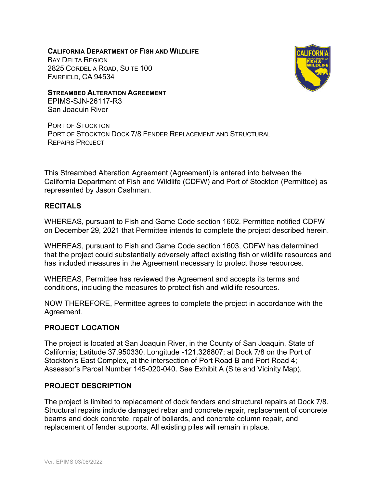**CALIFORNIA DEPARTMENT OF FISH AND WILDLIFE** BAY DELTA REGION 2825 CORDELIA ROAD, SUITE 100 FAIRFIELD, CA 94534



**STREAMBED ALTERATION AGREEMENT** EPIMS-SJN-26117-R3

San Joaquin River

PORT OF STOCKTON PORT OF STOCKTON DOCK 7/8 FENDER REPLACEMENT AND STRUCTURAL REPAIRS PROJECT

This Streambed Alteration Agreement (Agreement) is entered into between the California Department of Fish and Wildlife (CDFW) and Port of Stockton (Permittee) as represented by Jason Cashman.

## **RECITALS**

WHEREAS, pursuant to Fish and Game Code section 1602, Permittee notified CDFW on December 29, 2021 that Permittee intends to complete the project described herein.

WHEREAS, pursuant to Fish and Game Code section 1603, CDFW has determined that the project could substantially adversely affect existing fish or wildlife resources and has included measures in the Agreement necessary to protect those resources.

WHEREAS, Permittee has reviewed the Agreement and accepts its terms and conditions, including the measures to protect fish and wildlife resources.

NOW THEREFORE, Permittee agrees to complete the project in accordance with the Agreement.

### **PROJECT LOCATION**

The project is located at San Joaquin River, in the County of San Joaquin, State of California; Latitude 37.950330, Longitude -121.326807; at Dock 7/8 on the Port of Stockton's East Complex, at the intersection of Port Road B and Port Road 4; Assessor's Parcel Number 145-020-040. See Exhibit A (Site and Vicinity Map).

### **PROJECT DESCRIPTION**

The project is limited to replacement of dock fenders and structural repairs at Dock 7/8. Structural repairs include damaged rebar and concrete repair, replacement of concrete beams and dock concrete, repair of bollards, and concrete column repair, and replacement of fender supports. All existing piles will remain in place.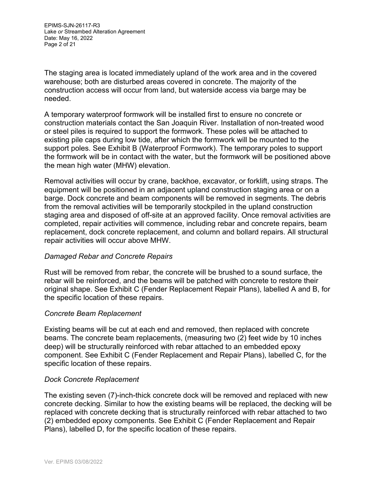EPIMS-SJN-26117-R3 Lake *or* Streambed Alteration Agreement Date: May 16, 2022 Page 2 of 21

The staging area is located immediately upland of the work area and in the covered warehouse; both are disturbed areas covered in concrete. The majority of the construction access will occur from land, but waterside access via barge may be needed.

A temporary waterproof formwork will be installed first to ensure no concrete or construction materials contact the San Joaquin River. Installation of non-treated wood or steel piles is required to support the formwork. These poles will be attached to existing pile caps during low tide, after which the formwork will be mounted to the support poles. See Exhibit B (Waterproof Formwork). The temporary poles to support the formwork will be in contact with the water, but the formwork will be positioned above the mean high water (MHW) elevation.

Removal activities will occur by crane, backhoe, excavator, or forklift, using straps. The equipment will be positioned in an adjacent upland construction staging area or on a barge. Dock concrete and beam components will be removed in segments. The debris from the removal activities will be temporarily stockpiled in the upland construction staging area and disposed of off-site at an approved facility. Once removal activities are completed, repair activities will commence, including rebar and concrete repairs, beam replacement, dock concrete replacement, and column and bollard repairs. All structural repair activities will occur above MHW.

### *Damaged Rebar and Concrete Repairs*

Rust will be removed from rebar, the concrete will be brushed to a sound surface, the rebar will be reinforced, and the beams will be patched with concrete to restore their original shape. See Exhibit C (Fender Replacement Repair Plans), labelled A and B, for the specific location of these repairs.

#### *Concrete Beam Replacement*

Existing beams will be cut at each end and removed, then replaced with concrete beams. The concrete beam replacements, (measuring two (2) feet wide by 10 inches deep) will be structurally reinforced with rebar attached to an embedded epoxy component. See Exhibit C (Fender Replacement and Repair Plans), labelled C, for the specific location of these repairs.

### *Dock Concrete Replacement*

The existing seven (7)-inch-thick concrete dock will be removed and replaced with new concrete decking. Similar to how the existing beams will be replaced, the decking will be replaced with concrete decking that is structurally reinforced with rebar attached to two (2) embedded epoxy components. See Exhibit C (Fender Replacement and Repair Plans), labelled D, for the specific location of these repairs.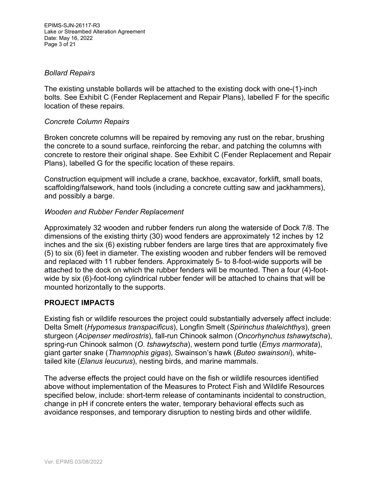EPIMS-SJN-26117-R3 Lake *or* Streambed Alteration Agreement Date: May 16, 2022 Page 3 of 21

#### *Bollard Repairs*

The existing unstable bollards will be attached to the existing dock with one-(1)-inch bolts. See Exhibit C (Fender Replacement and Repair Plans), labelled F for the specific location of these repairs.

#### *Concrete Column Repairs*

Broken concrete columns will be repaired by removing any rust on the rebar, brushing the concrete to a sound surface, reinforcing the rebar, and patching the columns with concrete to restore their original shape. See Exhibit C (Fender Replacement and Repair Plans), labelled G for the specific location of these repairs.

Construction equipment will include a crane, backhoe, excavator, forklift, small boats, scaffolding/falsework, hand tools (including a concrete cutting saw and jackhammers), and possibly a barge.

### *Wooden and Rubber Fender Replacement*

Approximately 32 wooden and rubber fenders run along the waterside of Dock 7/8. The dimensions of the existing thirty (30) wood fenders are approximately 12 inches by 12 inches and the six (6) existing rubber fenders are large tires that are approximately five (5) to six (6) feet in diameter. The existing wooden and rubber fenders will be removed and replaced with 11 rubber fenders. Approximately 5- to 8-foot-wide supports will be attached to the dock on which the rubber fenders will be mounted. Then a four (4)-footwide by six (6)-foot-long cylindrical rubber fender will be attached to chains that will be mounted horizontally to the supports.

### **PROJECT IMPACTS**

Existing fish or wildlife resources the project could substantially adversely affect include: Delta Smelt (*Hypomesus transpacificus*), Longfin Smelt (*Spirinchus thaleichthys*), green sturgeon (*Acipenser medirostris*), fall-run Chinook salmon (*Oncorhynchus tshawytscha*), spring-run Chinook salmon (*O. tshawytscha*), western pond turtle (*Emys marmorata*), giant garter snake (*Thamnophis gigas*), Swainson's hawk (*Buteo swainsoni*), whitetailed kite (*Elanus leucurus*), nesting birds, and marine mammals.

The adverse effects the project could have on the fish or wildlife resources identified above without implementation of the Measures to Protect Fish and Wildlife Resources specified below, include: short-term release of contaminants incidental to construction, change in pH if concrete enters the water, temporary behavioral effects such as avoidance responses, and temporary disruption to nesting birds and other wildlife.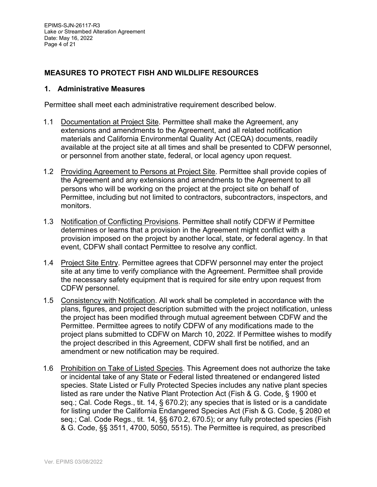## **MEASURES TO PROTECT FISH AND WILDLIFE RESOURCES**

#### **1. Administrative Measures**

Permittee shall meet each administrative requirement described below.

- 1.1 Documentation at Project Site. Permittee shall make the Agreement, any extensions and amendments to the Agreement, and all related notification materials and California Environmental Quality Act (CEQA) documents, readily available at the project site at all times and shall be presented to CDFW personnel, or personnel from another state, federal, or local agency upon request.
- 1.2 Providing Agreement to Persons at Project Site. Permittee shall provide copies of the Agreement and any extensions and amendments to the Agreement to all persons who will be working on the project at the project site on behalf of Permittee, including but not limited to contractors, subcontractors, inspectors, and monitors.
- 1.3 Notification of Conflicting Provisions. Permittee shall notify CDFW if Permittee determines or learns that a provision in the Agreement might conflict with a provision imposed on the project by another local, state, or federal agency. In that event, CDFW shall contact Permittee to resolve any conflict.
- 1.4 Project Site Entry. Permittee agrees that CDFW personnel may enter the project site at any time to verify compliance with the Agreement. Permittee shall provide the necessary safety equipment that is required for site entry upon request from CDFW personnel.
- 1.5 Consistency with Notification. All work shall be completed in accordance with the plans, figures, and project description submitted with the project notification, unless the project has been modified through mutual agreement between CDFW and the Permittee. Permittee agrees to notify CDFW of any modifications made to the project plans submitted to CDFW on March 10, 2022. If Permittee wishes to modify the project described in this Agreement, CDFW shall first be notified, and an amendment or new notification may be required.
- 1.6 Prohibition on Take of Listed Species. This Agreement does not authorize the take or incidental take of any State or Federal listed threatened or endangered listed species. State Listed or Fully Protected Species includes any native plant species listed as rare under the Native Plant Protection Act (Fish & G. Code, § 1900 et seq.; Cal. Code Regs., tit. 14, § 670.2); any species that is listed or is a candidate for listing under the California Endangered Species Act (Fish & G. Code, § 2080 et seq.; Cal. Code Regs., tit. 14, §§ 670.2, 670.5); or any fully protected species (Fish & G. Code, §§ 3511, 4700, 5050, 5515). The Permittee is required, as prescribed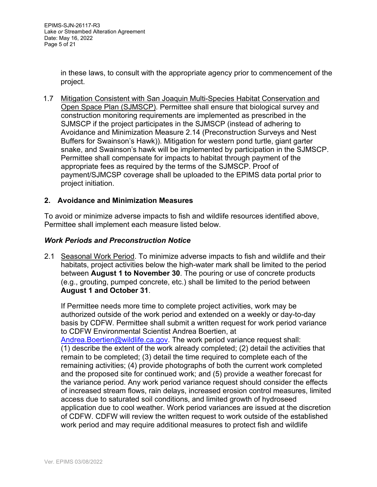in these laws, to consult with the appropriate agency prior to commencement of the project.

1.7 Mitigation Consistent with San Joaquin Multi-Species Habitat Conservation and Open Space Plan (SJMSCP). Permittee shall ensure that biological survey and construction monitoring requirements are implemented as prescribed in the SJMSCP if the project participates in the SJMSCP (instead of adhering to Avoidance and Minimization Measure 2.14 (Preconstruction Surveys and Nest Buffers for Swainson's Hawk)). Mitigation for western pond turtle, giant garter snake, and Swainson's hawk will be implemented by participation in the SJMSCP. Permittee shall compensate for impacts to habitat through payment of the appropriate fees as required by the terms of the SJMSCP. Proof of payment/SJMCSP coverage shall be uploaded to the EPIMS data portal prior to project initiation.

## **2. Avoidance and Minimization Measures**

To avoid or minimize adverse impacts to fish and wildlife resources identified above, Permittee shall implement each measure listed below.

### *Work Periods and Preconstruction Notice*

2.1 Seasonal Work Period. To minimize adverse impacts to fish and wildlife and their habitats, project activities below the high-water mark shall be limited to the period between **August 1 to November 30**. The pouring or use of concrete products (e.g., grouting, pumped concrete, etc.) shall be limited to the period between **August 1 and October 31**.

If Permittee needs more time to complete project activities, work may be authorized outside of the work period and extended on a weekly or day-to-day basis by CDFW. Permittee shall submit a written request for work period variance to CDFW Environmental Scientist Andrea Boertien, at Andrea.Boertien@wildlife.ca.gov. The work period variance request shall: (1) describe the extent of the work already completed; (2) detail the activities that remain to be completed; (3) detail the time required to complete each of the remaining activities; (4) provide photographs of both the current work completed and the proposed site for continued work; and (5) provide a weather forecast for the variance period. Any work period variance request should consider the effects of increased stream flows, rain delays, increased erosion control measures, limited access due to saturated soil conditions, and limited growth of hydroseed application due to cool weather. Work period variances are issued at the discretion of CDFW. CDFW will review the written request to work outside of the established work period and may require additional measures to protect fish and wildlife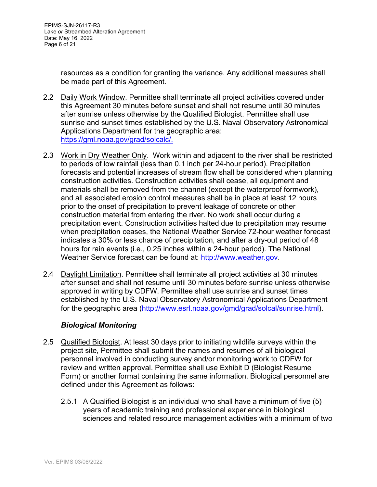resources as a condition for granting the variance. Any additional measures shall be made part of this Agreement.

- 2.2 Daily Work Window. Permittee shall terminate all project activities covered under this Agreement 30 minutes before sunset and shall not resume until 30 minutes after sunrise unless otherwise by the Qualified Biologist. Permittee shall use sunrise and sunset times established by the U.S. Naval Observatory Astronomical Applications Department for the geographic area: https://gml.noaa.gov/grad/solcalc/.
- 2.3 Work in Dry Weather Only. Work within and adjacent to the river shall be restricted to periods of low rainfall (less than 0.1 inch per 24-hour period). Precipitation forecasts and potential increases of stream flow shall be considered when planning construction activities. Construction activities shall cease, all equipment and materials shall be removed from the channel (except the waterproof formwork), and all associated erosion control measures shall be in place at least 12 hours prior to the onset of precipitation to prevent leakage of concrete or other construction material from entering the river. No work shall occur during a precipitation event. Construction activities halted due to precipitation may resume when precipitation ceases, the National Weather Service 72-hour weather forecast indicates a 30% or less chance of precipitation, and after a dry-out period of 48 hours for rain events (i.e., 0.25 inches within a 24-hour period). The National Weather Service forecast can be found at: http://www.weather.gov.
- 2.4 Daylight Limitation. Permittee shall terminate all project activities at 30 minutes after sunset and shall not resume until 30 minutes before sunrise unless otherwise approved in writing by CDFW. Permittee shall use sunrise and sunset times established by the U.S. Naval Observatory Astronomical Applications Department for the geographic area (http://www.esrl.noaa.gov/gmd/grad/solcal/sunrise.html).

### *Biological Monitoring*

- 2.5 Qualified Biologist. At least 30 days prior to initiating wildlife surveys within the project site, Permittee shall submit the names and resumes of all biological personnel involved in conducting survey and/or monitoring work to CDFW for review and written approval. Permittee shall use Exhibit D (Biologist Resume Form) or another format containing the same information. Biological personnel are defined under this Agreement as follows:
	- 2.5.1 A Qualified Biologist is an individual who shall have a minimum of five (5) years of academic training and professional experience in biological sciences and related resource management activities with a minimum of two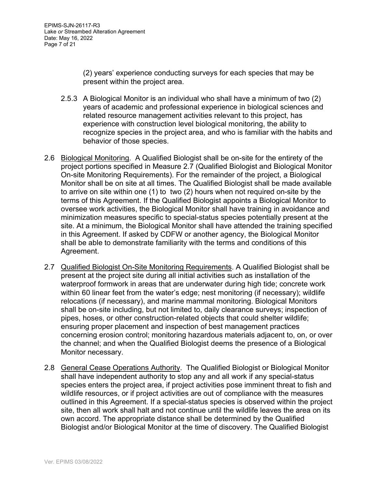(2) years' experience conducting surveys for each species that may be present within the project area.

- 2.5.3 A Biological Monitor is an individual who shall have a minimum of two (2) years of academic and professional experience in biological sciences and related resource management activities relevant to this project, has experience with construction level biological monitoring, the ability to recognize species in the project area, and who is familiar with the habits and behavior of those species.
- 2.6 Biological Monitoring. A Qualified Biologist shall be on-site for the entirety of the project portions specified in Measure 2.7 (Qualified Biologist and Biological Monitor On-site Monitoring Requirements). For the remainder of the project, a Biological Monitor shall be on site at all times. The Qualified Biologist shall be made available to arrive on site within one (1) to two (2) hours when not required on-site by the terms of this Agreement. If the Qualified Biologist appoints a Biological Monitor to oversee work activities, the Biological Monitor shall have training in avoidance and minimization measures specific to special-status species potentially present at the site. At a minimum, the Biological Monitor shall have attended the training specified in this Agreement. If asked by CDFW or another agency, the Biological Monitor shall be able to demonstrate familiarity with the terms and conditions of this Agreement.
- 2.7 Qualified Biologist On-Site Monitoring Requirements. A Qualified Biologist shall be present at the project site during all initial activities such as installation of the waterproof formwork in areas that are underwater during high tide; concrete work within 60 linear feet from the water's edge; nest monitoring (if necessary); wildlife relocations (if necessary), and marine mammal monitoring. Biological Monitors shall be on-site including, but not limited to, daily clearance surveys; inspection of pipes, hoses, or other construction-related objects that could shelter wildlife; ensuring proper placement and inspection of best management practices concerning erosion control; monitoring hazardous materials adjacent to, on, or over the channel; and when the Qualified Biologist deems the presence of a Biological Monitor necessary.
- 2.8 General Cease Operations Authority. The Qualified Biologist or Biological Monitor shall have independent authority to stop any and all work if any special-status species enters the project area, if project activities pose imminent threat to fish and wildlife resources, or if project activities are out of compliance with the measures outlined in this Agreement. If a special-status species is observed within the project site, then all work shall halt and not continue until the wildlife leaves the area on its own accord. The appropriate distance shall be determined by the Qualified Biologist and/or Biological Monitor at the time of discovery. The Qualified Biologist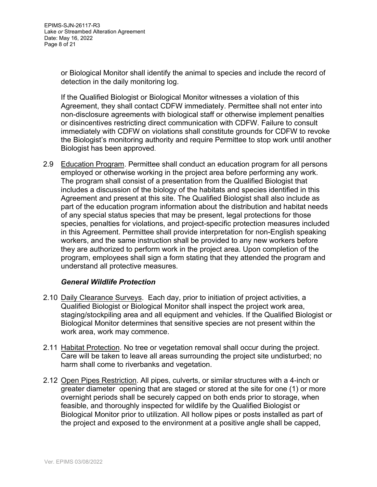or Biological Monitor shall identify the animal to species and include the record of detection in the daily monitoring log.

If the Qualified Biologist or Biological Monitor witnesses a violation of this Agreement, they shall contact CDFW immediately. Permittee shall not enter into non-disclosure agreements with biological staff or otherwise implement penalties or disincentives restricting direct communication with CDFW. Failure to consult immediately with CDFW on violations shall constitute grounds for CDFW to revoke the Biologist's monitoring authority and require Permittee to stop work until another Biologist has been approved.

2.9 Education Program. Permittee shall conduct an education program for all persons employed or otherwise working in the project area before performing any work. The program shall consist of a presentation from the Qualified Biologist that includes a discussion of the biology of the habitats and species identified in this Agreement and present at this site. The Qualified Biologist shall also include as part of the education program information about the distribution and habitat needs of any special status species that may be present, legal protections for those species, penalties for violations, and project-specific protection measures included in this Agreement. Permittee shall provide interpretation for non-English speaking workers, and the same instruction shall be provided to any new workers before they are authorized to perform work in the project area. Upon completion of the program, employees shall sign a form stating that they attended the program and understand all protective measures.

### *General Wildlife Protection*

- 2.10 Daily Clearance Surveys. Each day, prior to initiation of project activities, a Qualified Biologist or Biological Monitor shall inspect the project work area, staging/stockpiling area and all equipment and vehicles. If the Qualified Biologist or Biological Monitor determines that sensitive species are not present within the work area, work may commence.
- 2.11 Habitat Protection. No tree or vegetation removal shall occur during the project. Care will be taken to leave all areas surrounding the project site undisturbed; no harm shall come to riverbanks and vegetation.
- 2.12 Open Pipes Restriction. All pipes, culverts, or similar structures with a 4-inch or greater diameter opening that are staged or stored at the site for one (1) or more overnight periods shall be securely capped on both ends prior to storage, when feasible, and thoroughly inspected for wildlife by the Qualified Biologist or Biological Monitor prior to utilization. All hollow pipes or posts installed as part of the project and exposed to the environment at a positive angle shall be capped,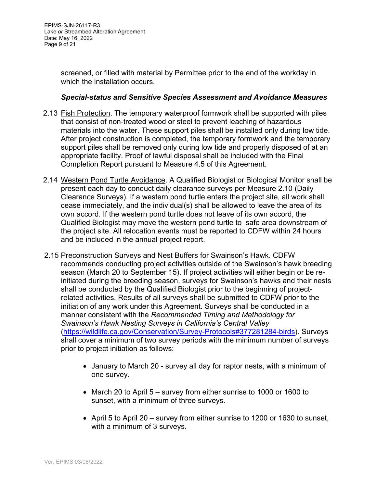screened, or filled with material by Permittee prior to the end of the workday in which the installation occurs.

### *Special-status and Sensitive Species Assessment and Avoidance Measures*

- 2.13 Fish Protection. The temporary waterproof formwork shall be supported with piles that consist of non-treated wood or steel to prevent leaching of hazardous materials into the water. These support piles shall be installed only during low tide. After project construction is completed, the temporary formwork and the temporary support piles shall be removed only during low tide and properly disposed of at an appropriate facility. Proof of lawful disposal shall be included with the Final Completion Report pursuant to Measure 4.5 of this Agreement.
- 2.14 Western Pond Turtle Avoidance. A Qualified Biologist or Biological Monitor shall be present each day to conduct daily clearance surveys per Measure 2.10 (Daily Clearance Surveys). If a western pond turtle enters the project site, all work shall cease immediately, and the individual(s) shall be allowed to leave the area of its own accord. If the western pond turtle does not leave of its own accord, the Qualified Biologist may move the western pond turtle to safe area downstream of the project site. All relocation events must be reported to CDFW within 24 hours and be included in the annual project report.
- 2.15 Preconstruction Surveys and Nest Buffers for Swainson's Hawk. CDFW recommends conducting project activities outside of the Swainson's hawk breeding season (March 20 to September 15). If project activities will either begin or be reinitiated during the breeding season, surveys for Swainson's hawks and their nests shall be conducted by the Qualified Biologist prior to the beginning of projectrelated activities. Results of all surveys shall be submitted to CDFW prior to the initiation of any work under this Agreement. Surveys shall be conducted in a manner consistent with the *Recommended Timing and Methodology for Swainson's Hawk Nesting Surveys in California's Central Valley* (https://wildlife.ca.gov/Conservation/Survey-Protocols#377281284-birds). Surveys shall cover a minimum of two survey periods with the minimum number of surveys prior to project initiation as follows:
	- January to March 20 survey all day for raptor nests, with a minimum of one survey.
	- March 20 to April 5 survey from either sunrise to 1000 or 1600 to sunset, with a minimum of three surveys.
	- April 5 to April 20 survey from either sunrise to 1200 or 1630 to sunset, with a minimum of 3 surveys.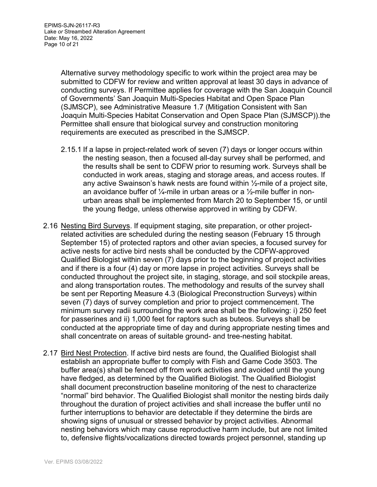Alternative survey methodology specific to work within the project area may be submitted to CDFW for review and written approval at least 30 days in advance of conducting surveys. If Permittee applies for coverage with the San Joaquin Council of Governments' San Joaquin Multi-Species Habitat and Open Space Plan (SJMSCP), see Administrative Measure 1.7 (Mitigation Consistent with San Joaquin Multi-Species Habitat Conservation and Open Space Plan (SJMSCP)).the Permittee shall ensure that biological survey and construction monitoring requirements are executed as prescribed in the SJMSCP.

- 2.15.1 If a lapse in project-related work of seven (7) days or longer occurs within the nesting season, then a focused all-day survey shall be performed, and the results shall be sent to CDFW prior to resuming work. Surveys shall be conducted in work areas, staging and storage areas, and access routes. If any active Swainson's hawk nests are found within ½-mile of a project site, an avoidance buffer of  $\frac{1}{4}$ -mile in urban areas or a  $\frac{1}{2}$ -mile buffer in nonurban areas shall be implemented from March 20 to September 15, or until the young fledge, unless otherwise approved in writing by CDFW.
- 2.16 Nesting Bird Surveys. If equipment staging, site preparation, or other projectrelated activities are scheduled during the nesting season (February 15 through September 15) of protected raptors and other avian species, a focused survey for active nests for active bird nests shall be conducted by the CDFW-approved Qualified Biologist within seven (7) days prior to the beginning of project activities and if there is a four (4) day or more lapse in project activities. Surveys shall be conducted throughout the project site, in staging, storage, and soil stockpile areas, and along transportation routes. The methodology and results of the survey shall be sent per Reporting Measure 4.3 (Biological Preconstruction Surveys) within seven (7) days of survey completion and prior to project commencement. The minimum survey radii surrounding the work area shall be the following: i) 250 feet for passerines and ii) 1,000 feet for raptors such as buteos. Surveys shall be conducted at the appropriate time of day and during appropriate nesting times and shall concentrate on areas of suitable ground- and tree-nesting habitat.
- 2.17 Bird Nest Protection. If active bird nests are found, the Qualified Biologist shall establish an appropriate buffer to comply with Fish and Game Code 3503. The buffer area(s) shall be fenced off from work activities and avoided until the young have fledged, as determined by the Qualified Biologist. The Qualified Biologist shall document preconstruction baseline monitoring of the nest to characterize "normal" bird behavior. The Qualified Biologist shall monitor the nesting birds daily throughout the duration of project activities and shall increase the buffer until no further interruptions to behavior are detectable if they determine the birds are showing signs of unusual or stressed behavior by project activities. Abnormal nesting behaviors which may cause reproductive harm include, but are not limited to, defensive flights/vocalizations directed towards project personnel, standing up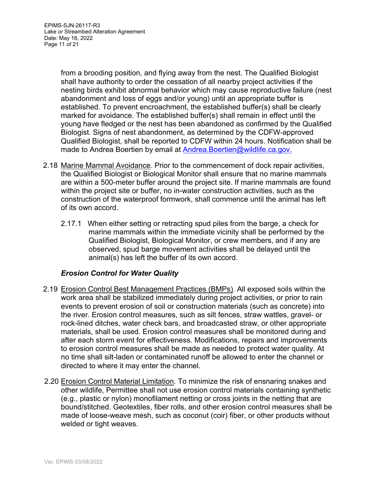from a brooding position, and flying away from the nest. The Qualified Biologist shall have authority to order the cessation of all nearby project activities if the nesting birds exhibit abnormal behavior which may cause reproductive failure (nest abandonment and loss of eggs and/or young) until an appropriate buffer is established. To prevent encroachment, the established buffer(s) shall be clearly marked for avoidance. The established buffer(s) shall remain in effect until the young have fledged or the nest has been abandoned as confirmed by the Qualified Biologist. Signs of nest abandonment, as determined by the CDFW-approved Qualified Biologist, shall be reported to CDFW within 24 hours. Notification shall be made to Andrea Boertien by email at Andrea.Boertien@wildlife.ca.gov.

- 2.18 Marine Mammal Avoidance. Prior to the commencement of dock repair activities, the Qualified Biologist or Biological Monitor shall ensure that no marine mammals are within a 500-meter buffer around the project site. If marine mammals are found within the project site or buffer, no in-water construction activities, such as the construction of the waterproof formwork, shall commence until the animal has left of its own accord.
	- 2.17.1 When either setting or retracting spud piles from the barge, a check for marine mammals within the immediate vicinity shall be performed by the Qualified Biologist, Biological Monitor, or crew members, and if any are observed, spud barge movement activities shall be delayed until the animal(s) has left the buffer of its own accord.

# *Erosion Control for Water Quality*

- 2.19 Erosion Control Best Management Practices (BMPs). All exposed soils within the work area shall be stabilized immediately during project activities, or prior to rain events to prevent erosion of soil or construction materials (such as concrete) into the river. Erosion control measures, such as silt fences, straw wattles, gravel- or rock-lined ditches, water check bars, and broadcasted straw, or other appropriate materials, shall be used. Erosion control measures shall be monitored during and after each storm event for effectiveness. Modifications, repairs and improvements to erosion control measures shall be made as needed to protect water quality. At no time shall silt-laden or contaminated runoff be allowed to enter the channel or directed to where it may enter the channel.
- 2.20 Erosion Control Material Limitation. To minimize the risk of ensnaring snakes and other wildlife, Permittee shall not use erosion control materials containing synthetic (e.g., plastic or nylon) monofilament netting or cross joints in the netting that are bound/stitched. Geotextiles, fiber rolls, and other erosion control measures shall be made of loose-weave mesh, such as coconut (coir) fiber, or other products without welded or tight weaves.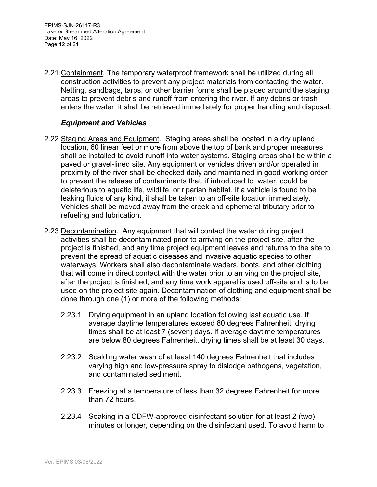EPIMS-SJN-26117-R3 Lake *or* Streambed Alteration Agreement Date: May 16, 2022 Page 12 of 21

2.21 Containment. The temporary waterproof framework shall be utilized during all construction activities to prevent any project materials from contacting the water. Netting, sandbags, tarps, or other barrier forms shall be placed around the staging areas to prevent debris and runoff from entering the river. If any debris or trash enters the water, it shall be retrieved immediately for proper handling and disposal.

### *Equipment and Vehicles*

- 2.22 Staging Areas and Equipment. Staging areas shall be located in a dry upland location, 60 linear feet or more from above the top of bank and proper measures shall be installed to avoid runoff into water systems. Staging areas shall be within a paved or gravel-lined site. Any equipment or vehicles driven and/or operated in proximity of the river shall be checked daily and maintained in good working order to prevent the release of contaminants that, if introduced to water, could be deleterious to aquatic life, wildlife, or riparian habitat. If a vehicle is found to be leaking fluids of any kind, it shall be taken to an off-site location immediately. Vehicles shall be moved away from the creek and ephemeral tributary prior to refueling and lubrication.
- 2.23 Decontamination. Any equipment that will contact the water during project activities shall be decontaminated prior to arriving on the project site, after the project is finished, and any time project equipment leaves and returns to the site to prevent the spread of aquatic diseases and invasive aquatic species to other waterways. Workers shall also decontaminate waders, boots, and other clothing that will come in direct contact with the water prior to arriving on the project site, after the project is finished, and any time work apparel is used off-site and is to be used on the project site again. Decontamination of clothing and equipment shall be done through one (1) or more of the following methods:
	- 2.23.1 Drying equipment in an upland location following last aquatic use. If average daytime temperatures exceed 80 degrees Fahrenheit, drying times shall be at least 7 (seven) days. If average daytime temperatures are below 80 degrees Fahrenheit, drying times shall be at least 30 days.
	- 2.23.2 Scalding water wash of at least 140 degrees Fahrenheit that includes varying high and low-pressure spray to dislodge pathogens, vegetation, and contaminated sediment.
	- 2.23.3 Freezing at a temperature of less than 32 degrees Fahrenheit for more than 72 hours.
	- 2.23.4 Soaking in a CDFW-approved disinfectant solution for at least 2 (two) minutes or longer, depending on the disinfectant used. To avoid harm to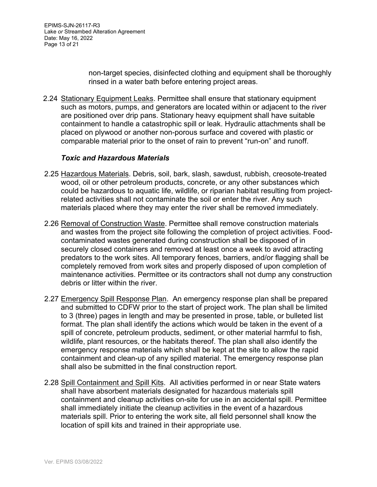non-target species, disinfected clothing and equipment shall be thoroughly rinsed in a water bath before entering project areas.

2.24 Stationary Equipment Leaks. Permittee shall ensure that stationary equipment such as motors, pumps, and generators are located within or adjacent to the river are positioned over drip pans. Stationary heavy equipment shall have suitable containment to handle a catastrophic spill or leak. Hydraulic attachments shall be placed on plywood or another non-porous surface and covered with plastic or comparable material prior to the onset of rain to prevent "run-on" and runoff.

#### *Toxic and Hazardous Materials*

- 2.25 Hazardous Materials. Debris, soil, bark, slash, sawdust, rubbish, creosote-treated wood, oil or other petroleum products, concrete, or any other substances which could be hazardous to aquatic life, wildlife, or riparian habitat resulting from projectrelated activities shall not contaminate the soil or enter the river. Any such materials placed where they may enter the river shall be removed immediately.
- 2.26 Removal of Construction Waste. Permittee shall remove construction materials and wastes from the project site following the completion of project activities. Foodcontaminated wastes generated during construction shall be disposed of in securely closed containers and removed at least once a week to avoid attracting predators to the work sites. All temporary fences, barriers, and/or flagging shall be completely removed from work sites and properly disposed of upon completion of maintenance activities. Permittee or its contractors shall not dump any construction debris or litter within the river.
- 2.27 Emergency Spill Response Plan. An emergency response plan shall be prepared and submitted to CDFW prior to the start of project work. The plan shall be limited to 3 (three) pages in length and may be presented in prose, table, or bulleted list format. The plan shall identify the actions which would be taken in the event of a spill of concrete, petroleum products, sediment, or other material harmful to fish, wildlife, plant resources, or the habitats thereof. The plan shall also identify the emergency response materials which shall be kept at the site to allow the rapid containment and clean-up of any spilled material. The emergency response plan shall also be submitted in the final construction report.
- 2.28 Spill Containment and Spill Kits. All activities performed in or near State waters shall have absorbent materials designated for hazardous materials spill containment and cleanup activities on-site for use in an accidental spill. Permittee shall immediately initiate the cleanup activities in the event of a hazardous materials spill. Prior to entering the work site, all field personnel shall know the location of spill kits and trained in their appropriate use.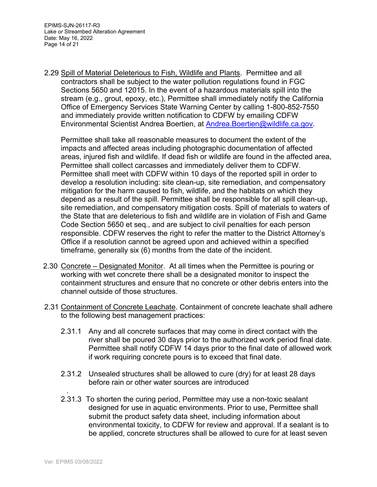2.29 Spill of Material Deleterious to Fish, Wildlife and Plants. Permittee and all contractors shall be subject to the water pollution regulations found in FGC Sections 5650 and 12015. In the event of a hazardous materials spill into the stream (e.g., grout, epoxy, etc.), Permittee shall immediately notify the California Office of Emergency Services State Warning Center by calling 1-800-852-7550 and immediately provide written notification to CDFW by emailing CDFW Environmental Scientist Andrea Boertien, at Andrea.Boertien@wildlife.ca.gov.

Permittee shall take all reasonable measures to document the extent of the impacts and affected areas including photographic documentation of affected areas, injured fish and wildlife. If dead fish or wildlife are found in the affected area, Permittee shall collect carcasses and immediately deliver them to CDFW. Permittee shall meet with CDFW within 10 days of the reported spill in order to develop a resolution including: site clean-up, site remediation, and compensatory mitigation for the harm caused to fish, wildlife, and the habitats on which they depend as a result of the spill. Permittee shall be responsible for all spill clean-up, site remediation, and compensatory mitigation costs. Spill of materials to waters of the State that are deleterious to fish and wildlife are in violation of Fish and Game Code Section 5650 et seq., and are subject to civil penalties for each person responsible. CDFW reserves the right to refer the matter to the District Attorney's Office if a resolution cannot be agreed upon and achieved within a specified timeframe, generally six (6) months from the date of the incident.

- 2.30 Concrete Designated Monitor. At all times when the Permittee is pouring or working with wet concrete there shall be a designated monitor to inspect the containment structures and ensure that no concrete or other debris enters into the channel outside of those structures.
- 2.31 Containment of Concrete Leachate. Containment of concrete leachate shall adhere to the following best management practices:
	- 2.31.1 Any and all concrete surfaces that may come in direct contact with the river shall be poured 30 days prior to the authorized work period final date. Permittee shall notify CDFW 14 days prior to the final date of allowed work if work requiring concrete pours is to exceed that final date.
	- 2.31.2 Unsealed structures shall be allowed to cure (dry) for at least 28 days before rain or other water sources are introduced
	- 2.31.3 To shorten the curing period, Permittee may use a non-toxic sealant designed for use in aquatic environments. Prior to use, Permittee shall submit the product safety data sheet, including information about environmental toxicity, to CDFW for review and approval. If a sealant is to be applied, concrete structures shall be allowed to cure for at least seven

.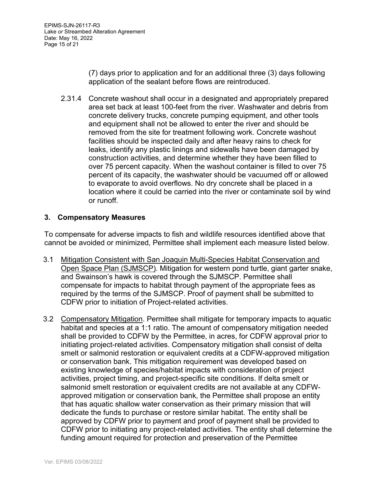(7) days prior to application and for an additional three (3) days following application of the sealant before flows are reintroduced.

2.31.4 Concrete washout shall occur in a designated and appropriately prepared area set back at least 100-feet from the river. Washwater and debris from concrete delivery trucks, concrete pumping equipment, and other tools and equipment shall not be allowed to enter the river and should be removed from the site for treatment following work. Concrete washout facilities should be inspected daily and after heavy rains to check for leaks, identify any plastic linings and sidewalls have been damaged by construction activities, and determine whether they have been filled to over 75 percent capacity. When the washout container is filled to over 75 percent of its capacity, the washwater should be vacuumed off or allowed to evaporate to avoid overflows. No dry concrete shall be placed in a location where it could be carried into the river or contaminate soil by wind or runoff.

### **3. Compensatory Measures**

To compensate for adverse impacts to fish and wildlife resources identified above that cannot be avoided or minimized, Permittee shall implement each measure listed below.

- 3.1 Mitigation Consistent with San Joaquin Multi-Species Habitat Conservation and Open Space Plan (SJMSCP). Mitigation for western pond turtle, giant garter snake, and Swainson's hawk is covered through the SJMSCP. Permittee shall compensate for impacts to habitat through payment of the appropriate fees as required by the terms of the SJMSCP. Proof of payment shall be submitted to CDFW prior to initiation of Project-related activities.
- 3.2 Compensatory Mitigation. Permittee shall mitigate for temporary impacts to aquatic habitat and species at a 1:1 ratio. The amount of compensatory mitigation needed shall be provided to CDFW by the Permittee, in acres, for CDFW approval prior to initiating project-related activities. Compensatory mitigation shall consist of delta smelt or salmonid restoration or equivalent credits at a CDFW-approved mitigation or conservation bank. This mitigation requirement was developed based on existing knowledge of species/habitat impacts with consideration of project activities, project timing, and project-specific site conditions. If delta smelt or salmonid smelt restoration or equivalent credits are not available at any CDFWapproved mitigation or conservation bank, the Permittee shall propose an entity that has aquatic shallow water conservation as their primary mission that will dedicate the funds to purchase or restore similar habitat. The entity shall be approved by CDFW prior to payment and proof of payment shall be provided to CDFW prior to initiating any project-related activities. The entity shall determine the funding amount required for protection and preservation of the Permittee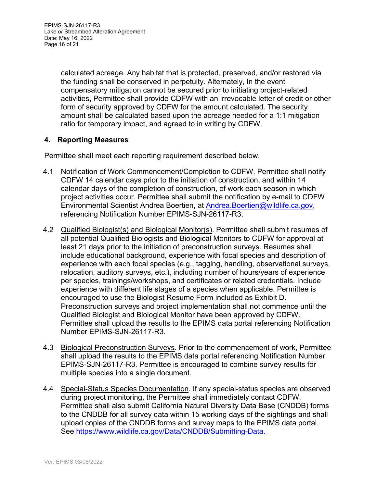calculated acreage. Any habitat that is protected, preserved, and/or restored via the funding shall be conserved in perpetuity. Alternately, In the event compensatory mitigation cannot be secured prior to initiating project-related activities, Permittee shall provide CDFW with an irrevocable letter of credit or other form of security approved by CDFW for the amount calculated. The security amount shall be calculated based upon the acreage needed for a 1:1 mitigation ratio for temporary impact, and agreed to in writing by CDFW.

# **4. Reporting Measures**

Permittee shall meet each reporting requirement described below.

- 4.1 Notification of Work Commencement/Completion to CDFW. Permittee shall notify CDFW 14 calendar days prior to the initiation of construction, and within 14 calendar days of the completion of construction, of work each season in which project activities occur. Permittee shall submit the notification by e-mail to CDFW Environmental Scientist Andrea Boertien, at Andrea.Boertien@wildlife.ca.gov, referencing Notification Number EPIMS-SJN-26117-R3.
- 4.2 Qualified Biologist(s) and Biological Monitor(s). Permittee shall submit resumes of all potential Qualified Biologists and Biological Monitors to CDFW for approval at least 21 days prior to the initiation of preconstruction surveys. Resumes shall include educational background, experience with focal species and description of experience with each focal species (e.g., tagging, handling, observational surveys, relocation, auditory surveys, etc.), including number of hours/years of experience per species, trainings/workshops, and certificates or related credentials. Include experience with different life stages of a species when applicable. Permittee is encouraged to use the Biologist Resume Form included as Exhibit D. Preconstruction surveys and project implementation shall not commence until the Qualified Biologist and Biological Monitor have been approved by CDFW. Permittee shall upload the results to the EPIMS data portal referencing Notification Number EPIMS-SJN-26117-R3.
- 4.3 Biological Preconstruction Surveys. Prior to the commencement of work, Permittee shall upload the results to the EPIMS data portal referencing Notification Number EPIMS-SJN-26117-R3. Permittee is encouraged to combine survey results for multiple species into a single document.
- 4.4 Special-Status Species Documentation. If any special-status species are observed during project monitoring, the Permittee shall immediately contact CDFW. Permittee shall also submit California Natural Diversity Data Base (CNDDB) forms to the CNDDB for all survey data within 15 working days of the sightings and shall upload copies of the CNDDB forms and survey maps to the EPIMS data portal. See https://www.wildlife.ca.gov/Data/CNDDB/Submitting-Data.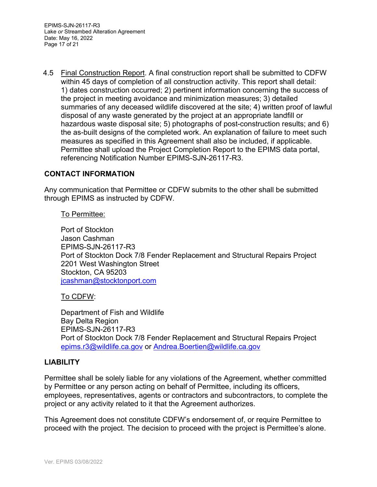EPIMS-SJN-26117-R3 Lake *or* Streambed Alteration Agreement Date: May 16, 2022 Page 17 of 21

4.5 Final Construction Report. A final construction report shall be submitted to CDFW within 45 days of completion of all construction activity. This report shall detail: 1) dates construction occurred; 2) pertinent information concerning the success of the project in meeting avoidance and minimization measures; 3) detailed summaries of any deceased wildlife discovered at the site; 4) written proof of lawful disposal of any waste generated by the project at an appropriate landfill or hazardous waste disposal site; 5) photographs of post-construction results; and 6) the as-built designs of the completed work. An explanation of failure to meet such measures as specified in this Agreement shall also be included, if applicable. Permittee shall upload the Project Completion Report to the EPIMS data portal, referencing Notification Number EPIMS-SJN-26117-R3.

### **CONTACT INFORMATION**

Any communication that Permittee or CDFW submits to the other shall be submitted through EPIMS as instructed by CDFW.

#### To Permittee:

Port of Stockton Jason Cashman EPIMS-SJN-26117-R3 Port of Stockton Dock 7/8 Fender Replacement and Structural Repairs Project 2201 West Washington Street Stockton, CA 95203 jcashman@stocktonport.com

#### To CDFW:

Department of Fish and Wildlife Bay Delta Region EPIMS-SJN-26117-R3 Port of Stockton Dock 7/8 Fender Replacement and Structural Repairs Project epims.r3@wildlife.ca.gov or Andrea.Boertien@wildlife.ca.gov

### **LIABILITY**

Permittee shall be solely liable for any violations of the Agreement, whether committed by Permittee or any person acting on behalf of Permittee, including its officers, employees, representatives, agents or contractors and subcontractors, to complete the project or any activity related to it that the Agreement authorizes.

This Agreement does not constitute CDFW's endorsement of, or require Permittee to proceed with the project. The decision to proceed with the project is Permittee's alone.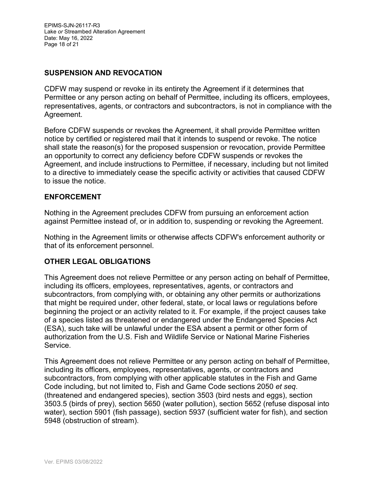EPIMS-SJN-26117-R3 Lake *or* Streambed Alteration Agreement Date: May 16, 2022 Page 18 of 21

### **SUSPENSION AND REVOCATION**

CDFW may suspend or revoke in its entirety the Agreement if it determines that Permittee or any person acting on behalf of Permittee, including its officers, employees, representatives, agents, or contractors and subcontractors, is not in compliance with the Agreement.

Before CDFW suspends or revokes the Agreement, it shall provide Permittee written notice by certified or registered mail that it intends to suspend or revoke. The notice shall state the reason(s) for the proposed suspension or revocation, provide Permittee an opportunity to correct any deficiency before CDFW suspends or revokes the Agreement, and include instructions to Permittee, if necessary, including but not limited to a directive to immediately cease the specific activity or activities that caused CDFW to issue the notice.

#### **ENFORCEMENT**

Nothing in the Agreement precludes CDFW from pursuing an enforcement action against Permittee instead of, or in addition to, suspending or revoking the Agreement.

Nothing in the Agreement limits or otherwise affects CDFW's enforcement authority or that of its enforcement personnel.

### **OTHER LEGAL OBLIGATIONS**

This Agreement does not relieve Permittee or any person acting on behalf of Permittee, including its officers, employees, representatives, agents, or contractors and subcontractors, from complying with, or obtaining any other permits or authorizations that might be required under, other federal, state, or local laws or regulations before beginning the project or an activity related to it. For example, if the project causes take of a species listed as threatened or endangered under the Endangered Species Act (ESA), such take will be unlawful under the ESA absent a permit or other form of authorization from the U.S. Fish and Wildlife Service or National Marine Fisheries Service.

This Agreement does not relieve Permittee or any person acting on behalf of Permittee, including its officers, employees, representatives, agents, or contractors and subcontractors, from complying with other applicable statutes in the Fish and Game Code including, but not limited to, Fish and Game Code sections 2050 *et seq*. (threatened and endangered species), section 3503 (bird nests and eggs), section 3503.5 (birds of prey), section 5650 (water pollution), section 5652 (refuse disposal into water), section 5901 (fish passage), section 5937 (sufficient water for fish), and section 5948 (obstruction of stream).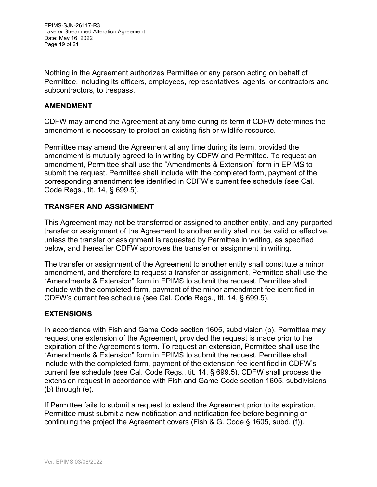EPIMS-SJN-26117-R3 Lake *or* Streambed Alteration Agreement Date: May 16, 2022 Page 19 of 21

Nothing in the Agreement authorizes Permittee or any person acting on behalf of Permittee, including its officers, employees, representatives, agents, or contractors and subcontractors, to trespass.

#### **AMENDMENT**

CDFW may amend the Agreement at any time during its term if CDFW determines the amendment is necessary to protect an existing fish or wildlife resource.

Permittee may amend the Agreement at any time during its term, provided the amendment is mutually agreed to in writing by CDFW and Permittee. To request an amendment, Permittee shall use the "Amendments & Extension" form in EPIMS to submit the request. Permittee shall include with the completed form, payment of the corresponding amendment fee identified in CDFW's current fee schedule (see Cal. Code Regs., tit. 14, § 699.5).

### **TRANSFER AND ASSIGNMENT**

This Agreement may not be transferred or assigned to another entity, and any purported transfer or assignment of the Agreement to another entity shall not be valid or effective, unless the transfer or assignment is requested by Permittee in writing, as specified below, and thereafter CDFW approves the transfer or assignment in writing.

The transfer or assignment of the Agreement to another entity shall constitute a minor amendment, and therefore to request a transfer or assignment, Permittee shall use the "Amendments & Extension" form in EPIMS to submit the request. Permittee shall include with the completed form, payment of the minor amendment fee identified in CDFW's current fee schedule (see Cal. Code Regs., tit. 14, § 699.5).

### **EXTENSIONS**

In accordance with Fish and Game Code section 1605, subdivision (b), Permittee may request one extension of the Agreement, provided the request is made prior to the expiration of the Agreement's term. To request an extension, Permittee shall use the "Amendments & Extension" form in EPIMS to submit the request. Permittee shall include with the completed form, payment of the extension fee identified in CDFW's current fee schedule (see Cal. Code Regs., tit. 14, § 699.5). CDFW shall process the extension request in accordance with Fish and Game Code section 1605, subdivisions (b) through (e).

If Permittee fails to submit a request to extend the Agreement prior to its expiration, Permittee must submit a new notification and notification fee before beginning or continuing the project the Agreement covers (Fish & G. Code § 1605, subd. (f)).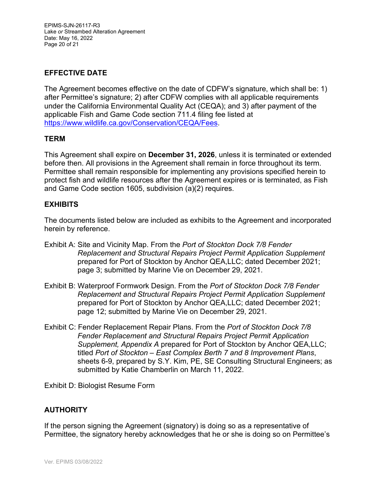EPIMS-SJN-26117-R3 Lake *or* Streambed Alteration Agreement Date: May 16, 2022 Page 20 of 21

# **EFFECTIVE DATE**

The Agreement becomes effective on the date of CDFW's signature, which shall be: 1) after Permittee's signature; 2) after CDFW complies with all applicable requirements under the California Environmental Quality Act (CEQA); and 3) after payment of the applicable Fish and Game Code section 711.4 filing fee listed at https://www.wildlife.ca.gov/Conservation/CEQA/Fees.

### **TERM**

This Agreement shall expire on **December 31, 2026**, unless it is terminated or extended before then. All provisions in the Agreement shall remain in force throughout its term. Permittee shall remain responsible for implementing any provisions specified herein to protect fish and wildlife resources after the Agreement expires or is terminated, as Fish and Game Code section 1605, subdivision (a)(2) requires.

### **EXHIBITS**

The documents listed below are included as exhibits to the Agreement and incorporated herein by reference.

- Exhibit A: Site and Vicinity Map. From the *Port of Stockton Dock 7/8 Fender Replacement and Structural Repairs Project Permit Application Supplement* prepared for Port of Stockton by Anchor QEA,LLC; dated December 2021; page 3; submitted by Marine Vie on December 29, 2021.
- Exhibit B: Waterproof Formwork Design. From the *Port of Stockton Dock 7/8 Fender Replacement and Structural Repairs Project Permit Application Supplement* prepared for Port of Stockton by Anchor QEA,LLC; dated December 2021; page 12; submitted by Marine Vie on December 29, 2021.
- Exhibit C: Fender Replacement Repair Plans. From the *Port of Stockton Dock 7/8 Fender Replacement and Structural Repairs Project Permit Application Supplement, Appendix A* prepared for Port of Stockton by Anchor QEA,LLC; titled *Port of Stockton – East Complex Berth 7 and 8 Improvement Plans*, sheets 6-9, prepared by S.Y. Kim, PE, SE Consulting Structural Engineers; as submitted by Katie Chamberlin on March 11, 2022.

Exhibit D: Biologist Resume Form

### **AUTHORITY**

If the person signing the Agreement (signatory) is doing so as a representative of Permittee, the signatory hereby acknowledges that he or she is doing so on Permittee's